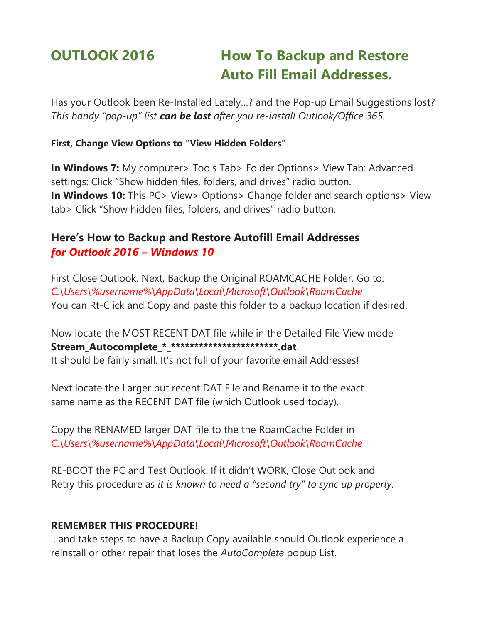# **OUTLOOK 2016 How To Backup and Restore Auto Fill Email Addresses.**

Has your Outlook been Re-Installed Lately…? and the Pop-up Email Suggestions lost? *This handy "pop-up" list can be lost after you re-install Outlook/Office 365.*

#### **First, Change View Options to "View Hidden Folders"**.

**In Windows 7:** My computer> Tools Tab> Folder Options> View Tab: Advanced settings: Click "Show hidden files, folders, and drives" radio button. **In Windows 10:** This PC > View > Options > Change folder and search options > View tab> Click "Show hidden files, folders, and drives" radio button.

## **Here's How to Backup and Restore Autofill Email Addresses** *for Outlook 2016 – Windows 10*

First Close Outlook. Next, Backup the Original ROAMCACHE Folder. Go to: *C:\Users\%username%\AppData\Local\Microsoft\Outlook\RoamCache* You can Rt-Click and Copy and paste this folder to a backup location if desired.

Now locate the MOST RECENT DAT file while in the Detailed File View mode **Stream\_Autocomplete\_\*\_\*\*\*\*\*\*\*\*\*\*\*\*\*\*\*\*\*\*\*\*\*\*\*.dat**.

It should be fairly small. It's not full of your favorite email Addresses!

Next locate the Larger but recent DAT File and Rename it to the exact same name as the RECENT DAT file (which Outlook used today).

Copy the RENAMED larger DAT file to the the RoamCache Folder in *C:\Users\%username%\AppData\Local\Microsoft\Outlook\RoamCache*

RE-BOOT the PC and Test Outlook. If it didn't WORK, Close Outlook and Retry this procedure as *it is known to need a "second try" to sync up properly.*

### **REMEMBER THIS PROCEDURE!**

…and take steps to have a Backup Copy available should Outlook experience a reinstall or other repair that loses the *AutoComplete* popup List.